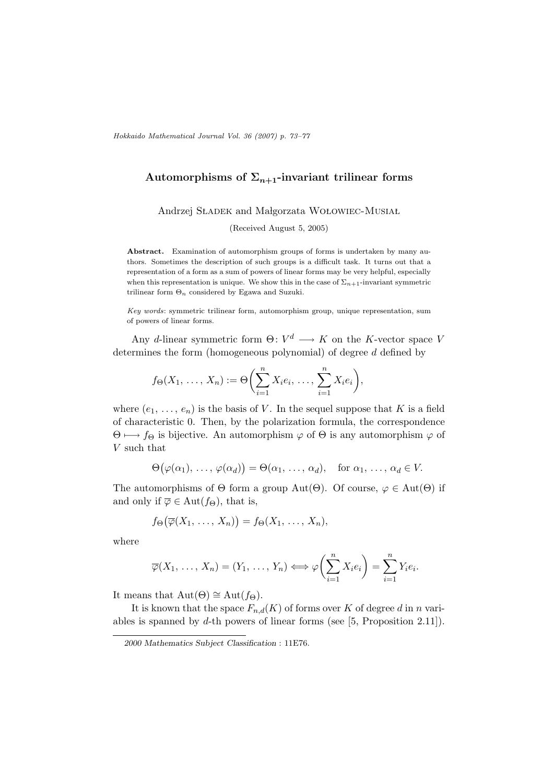## Automorphisms of  $\Sigma_{n+1}$ -invariant trilinear forms

Andrzej SŁADEK and Małgorzata WOŁOWIEC-MUSIAŁ

(Received August 5, 2005)

Abstract. Examination of automorphism groups of forms is undertaken by many authors. Sometimes the description of such groups is a difficult task. It turns out that a representation of a form as a sum of powers of linear forms may be very helpful, especially when this representation is unique. We show this in the case of  $\Sigma_{n+1}$ -invariant symmetric trilinear form  $\Theta_n$  considered by Egawa and Suzuki.

Key words: symmetric trilinear form, automorphism group, unique representation, sum of powers of linear forms.

Any d-linear symmetric form  $\Theta: V^d \longrightarrow K$  on the K-vector space V determines the form (homogeneous polynomial) of degree d defined by

$$
f_{\Theta}(X_1, \ldots, X_n) := \Theta\bigg(\sum_{i=1}^n X_i e_i, \ldots, \sum_{i=1}^n X_i e_i\bigg),
$$

where  $(e_1, \ldots, e_n)$  is the basis of V. In the sequel suppose that K is a field of characteristic 0. Then, by the polarization formula, the correspondence  $\Theta \mapsto f_{\Theta}$  is bijective. An automorphism  $\varphi$  of  $\Theta$  is any automorphism  $\varphi$  of V such that

$$
\Theta(\varphi(\alpha_1), \ldots, \varphi(\alpha_d)) = \Theta(\alpha_1, \ldots, \alpha_d), \text{ for } \alpha_1, \ldots, \alpha_d \in V.
$$

The automorphisms of  $\Theta$  form a group Aut $(\Theta)$ . Of course,  $\varphi \in \text{Aut}(\Theta)$  if and only if  $\overline{\varphi} \in \text{Aut}(f_{\Theta}),$  that is,

$$
f_{\Theta}(\overline{\varphi}(X_1,\ldots,X_n))=f_{\Theta}(X_1,\ldots,X_n),
$$

where

$$
\overline{\varphi}(X_1,\ldots,X_n)=(Y_1,\ldots,Y_n)\Longleftrightarrow \varphi\bigg(\sum_{i=1}^n X_i e_i\bigg)=\sum_{i=1}^n Y_i e_i.
$$

It means that  $Aut(\Theta) \cong Aut(f_{\Theta}).$ 

It is known that the space  $F_{n,d}(K)$  of forms over K of degree d in n variables is spanned by  $d$ -th powers of linear forms (see [5, Proposition 2.11]).

<sup>2000</sup> Mathematics Subject Classification : 11E76.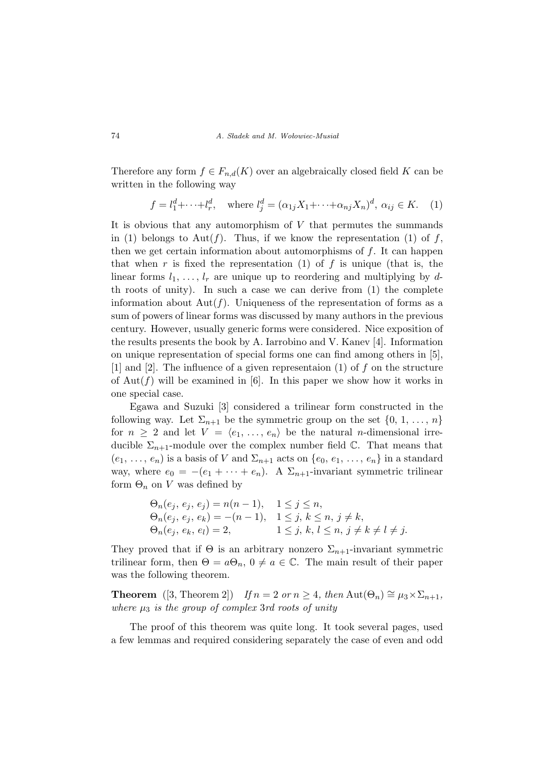Therefore any form  $f \in F_{n,d}(K)$  over an algebraically closed field K can be written in the following way

$$
f = l_1^d + \dots + l_r^d, \quad \text{where } l_j^d = (\alpha_{1j} X_1 + \dots + \alpha_{nj} X_n)^d, \ \alpha_{ij} \in K. \tag{1}
$$

It is obvious that any automorphism of  $V$  that permutes the summands in (1) belongs to Aut(f). Thus, if we know the representation (1) of f, then we get certain information about automorphisms of  $f$ . It can happen that when r is fixed the representation (1) of f is unique (that is, the linear forms  $l_1, \ldots, l_r$  are unique up to reordering and multiplying by dth roots of unity). In such a case we can derive from (1) the complete information about  $Aut(f)$ . Uniqueness of the representation of forms as a sum of powers of linear forms was discussed by many authors in the previous century. However, usually generic forms were considered. Nice exposition of the results presents the book by A. Iarrobino and V. Kanev [4]. Information on unique representation of special forms one can find among others in [5], [1] and [2]. The influence of a given representaion (1) of f on the structure of Aut( $f$ ) will be examined in [6]. In this paper we show how it works in one special case.

Egawa and Suzuki [3] considered a trilinear form constructed in the following way. Let  $\Sigma_{n+1}$  be the symmetric group on the set  $\{0, 1, \ldots, n\}$ for  $n \geq 2$  and let  $V = \langle e_1, \ldots, e_n \rangle$  be the natural *n*-dimensional irreducible  $\Sigma_{n+1}$ -module over the complex number field  $\mathbb{C}$ . That means that  $(e_1, \ldots, e_n)$  is a basis of V and  $\Sigma_{n+1}$  acts on  $\{e_0, e_1, \ldots, e_n\}$  in a standard way, where  $e_0 = -(e_1 + \cdots + e_n)$ . A  $\Sigma_{n+1}$ -invariant symmetric trilinear form  $\Theta_n$  on V was defined by

$$
\Theta_n(e_j, e_j, e_j) = n(n-1), \quad 1 \le j \le n,\n\Theta_n(e_j, e_j, e_k) = -(n-1), \quad 1 \le j, k \le n, j \ne k,\n\Theta_n(e_j, e_k, e_l) = 2, \qquad 1 \le j, k, l \le n, j \ne k \ne l \ne j.
$$

They proved that if  $\Theta$  is an arbitrary nonzero  $\Sigma_{n+1}$ -invariant symmetric trilinear form, then  $\Theta = a\Theta_n$ ,  $0 \neq a \in \mathbb{C}$ . The main result of their paper was the following theorem.

**Theorem** ([3, Theorem 2]) If  $n = 2$  or  $n \geq 4$ , then Aut $(\Theta_n) \cong \mu_3 \times \Sigma_{n+1}$ , where  $\mu_3$  is the group of complex 3rd roots of unity

The proof of this theorem was quite long. It took several pages, used a few lemmas and required considering separately the case of even and odd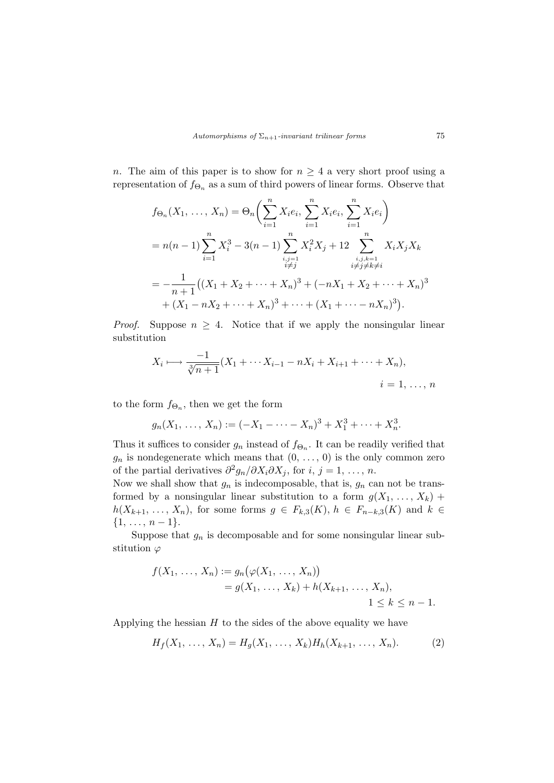n. The aim of this paper is to show for  $n \geq 4$  a very short proof using a representation of  $f_{\Theta_n}$  as a sum of third powers of linear forms. Observe that

$$
f_{\Theta_n}(X_1, ..., X_n) = \Theta_n \Biggl( \sum_{i=1}^n X_i e_i, \sum_{i=1}^n X_i e_i, \sum_{i=1}^n X_i e_i \Biggr)
$$
  
=  $n(n-1) \sum_{i=1}^n X_i^3 - 3(n-1) \sum_{\substack{i,j=1 \ i \neq j}}^n X_i^2 X_j + 12 \sum_{\substack{i,j,k=1 \ i \neq j \neq k \neq i}}^n X_i X_j X_k$   
=  $-\frac{1}{n+1} \Bigl( (X_1 + X_2 + \dots + X_n)^3 + (-nX_1 + X_2 + \dots + X_n)^3 \Bigr) + (X_1 - nX_2 + \dots + X_n)^3 + \dots + (X_1 + \dots - nX_n)^3 \Bigr).$ 

*Proof.* Suppose  $n \geq 4$ . Notice that if we apply the nonsingular linear substitution

$$
X_i \longmapsto \frac{-1}{\sqrt[3]{n+1}} (X_1 + \cdots X_{i-1} - nX_i + X_{i+1} + \cdots + X_n),
$$
  
\n $i = 1, ..., n$ 

to the form  $f_{\Theta_n}$ , then we get the form

$$
g_n(X_1, \ldots, X_n) := (-X_1 - \cdots - X_n)^3 + X_1^3 + \cdots + X_n^3.
$$

Thus it suffices to consider  $g_n$  instead of  $f_{\Theta_n}$ . It can be readily verified that  $g_n$  is nondegenerate which means that  $(0, \ldots, 0)$  is the only common zero of the partial derivatives  $\partial^2 g_n / \partial X_i \partial X_j$ , for  $i, j = 1, ..., n$ .

Now we shall show that  $g_n$  is indecomposable, that is,  $g_n$  can not be transformed by a nonsingular linear substitution to a form  $g(X_1, \ldots, X_k)$  +  $h(X_{k+1},\ldots,X_n)$ , for some forms  $g \in F_{k,3}(K)$ ,  $h \in F_{n-k,3}(K)$  and  $k \in$  $\{1, \ldots, n-1\}.$ 

Suppose that  $g_n$  is decomposable and for some nonsingular linear substitution  $\varphi$ 

$$
f(X_1, ..., X_n) := g_n(\varphi(X_1, ..., X_n))
$$
  
=  $g(X_1, ..., X_k) + h(X_{k+1}, ..., X_n),$   
 $1 \le k \le n - 1.$ 

Applying the hessian  $H$  to the sides of the above equality we have

$$
H_f(X_1, \ldots, X_n) = H_g(X_1, \ldots, X_k) H_h(X_{k+1}, \ldots, X_n).
$$
 (2)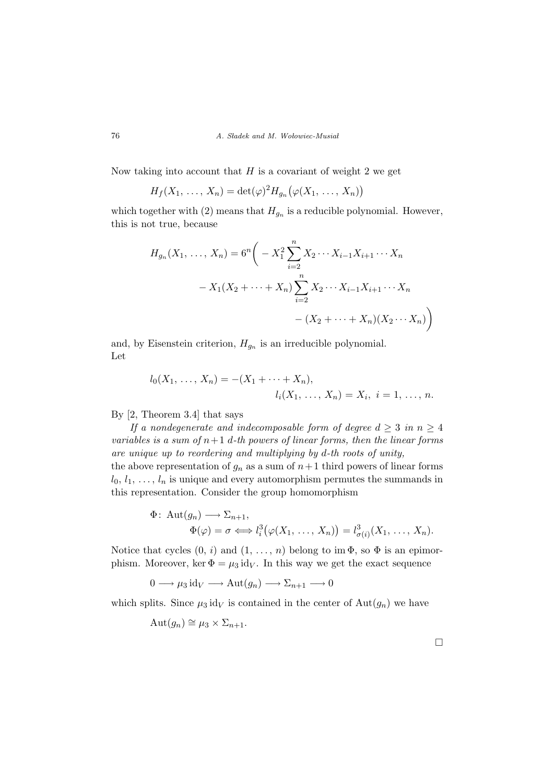Now taking into account that  $H$  is a covariant of weight 2 we get

$$
H_f(X_1, \ldots, X_n) = \det(\varphi)^2 H_{g_n}(\varphi(X_1, \ldots, X_n))
$$

which together with (2) means that  $H_{g_n}$  is a reducible polynomial. However, this is not true, because

$$
H_{g_n}(X_1, \ldots, X_n) = 6^n \bigg( -X_1^2 \sum_{i=2}^n X_2 \cdots X_{i-1} X_{i+1} \cdots X_n
$$

$$
-X_1(X_2 + \cdots + X_n) \sum_{i=2}^n X_2 \cdots X_{i-1} X_{i+1} \cdots X_n
$$

$$
- (X_2 + \cdots + X_n)(X_2 \cdots X_n) \bigg)
$$

and, by Eisenstein criterion,  $H_{g_n}$  is an irreducible polynomial. Let

$$
l_0(X_1, \ldots, X_n) = -(X_1 + \cdots + X_n),
$$
  

$$
l_i(X_1, \ldots, X_n) = X_i, \ i = 1, \ldots, n.
$$

By [2, Theorem 3.4] that says

If a nondegenerate and indecomposable form of degree  $d \geq 3$  in  $n \geq 4$ variables is a sum of  $n+1$  d-th powers of linear forms, then the linear forms are unique up to reordering and multiplying by d-th roots of unity, the above representation of  $g_n$  as a sum of  $n+1$  third powers of linear forms  $l_0, l_1, \ldots, l_n$  is unique and every automorphism permutes the summands in

$$
l_0, l_1, \ldots, l_n
$$
 is unique and every automorphism permutes the summands in this representation. Consider the group homomorphism

$$
\Phi: \operatorname{Aut}(g_n) \longrightarrow \Sigma_{n+1},
$$
  
\n
$$
\Phi(\varphi) = \sigma \Longleftrightarrow l_i^3(\varphi(X_1, \ldots, X_n)) = l_{\sigma(i)}^3(X_1, \ldots, X_n).
$$

Notice that cycles  $(0, i)$  and  $(1, \ldots, n)$  belong to im  $\Phi$ , so  $\Phi$  is an epimorphism. Moreover, ker  $\Phi = \mu_3 \text{ id}_V$ . In this way we get the exact sequence

$$
0 \longrightarrow \mu_3 \text{ id}_V \longrightarrow \text{Aut}(g_n) \longrightarrow \Sigma_{n+1} \longrightarrow 0
$$

which splits. Since  $\mu_3$  id<sub>V</sub> is contained in the center of  $\text{Aut}(g_n)$  we have

$$
Aut(g_n) \cong \mu_3 \times \Sigma_{n+1}.
$$

¤